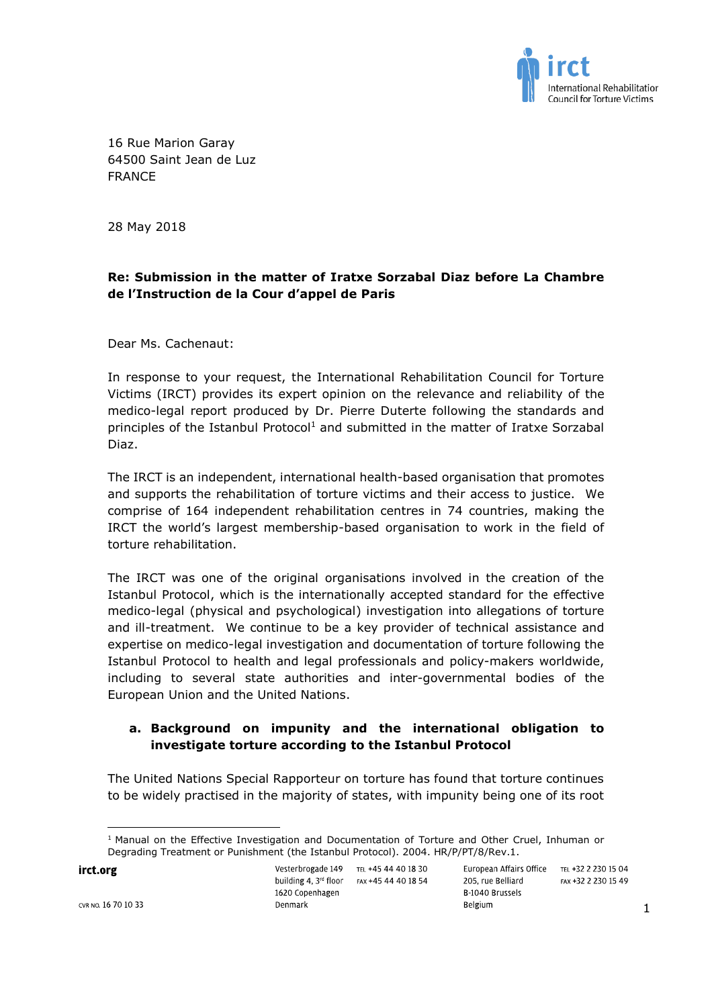

16 Rue Marion Garay 64500 Saint Jean de Luz FRANCE

28 May 2018

# **Re: Submission in the matter of Iratxe Sorzabal Diaz before La Chambre de l'Instruction de la Cour d'appel de Paris**

Dear Ms. Cachenaut:

In response to your request, the International Rehabilitation Council for Torture Victims (IRCT) provides its expert opinion on the relevance and reliability of the medico-legal report produced by Dr. Pierre Duterte following the standards and principles of the Istanbul Protocol<sup>1</sup> and submitted in the matter of Iratxe Sorzabal Diaz.

The IRCT is an independent, international health-based organisation that promotes and supports the rehabilitation of torture victims and their access to justice. We comprise of 164 independent rehabilitation centres in 74 countries, making the IRCT the world's largest membership-based organisation to work in the field of torture rehabilitation.

The IRCT was one of the original organisations involved in the creation of the Istanbul Protocol, which is the internationally accepted standard for the effective medico-legal (physical and psychological) investigation into allegations of torture and ill-treatment. We continue to be a key provider of technical assistance and expertise on medico-legal investigation and documentation of torture following the Istanbul Protocol to health and legal professionals and policy-makers worldwide, including to several state authorities and inter-governmental bodies of the European Union and the United Nations.

# **a. Background on impunity and the international obligation to investigate torture according to the Istanbul Protocol**

The United Nations Special Rapporteur on torture has found that torture continues to be widely practised in the majority of states, with impunity being one of its root

irct.org

Vesterbrogade 149 TEL +45 44 40 18 30 building 4, 3rd floor FAX +45 44 40 18 54 1620 Copenhagen Denmark

 $\overline{\phantom{a}}$ 

<sup>&</sup>lt;sup>1</sup> Manual on the Effective Investigation and Documentation of Torture and Other Cruel, Inhuman or Degrading Treatment or Punishment (the Istanbul Protocol). 2004. HR/P/PT/8/Rev.1.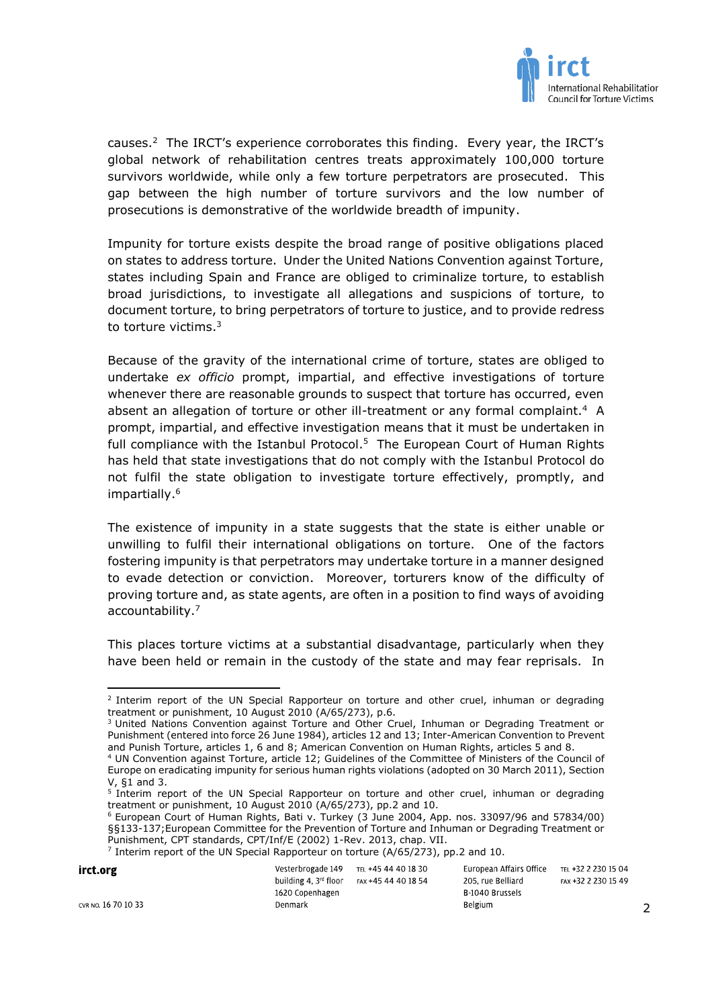

causes.<sup>2</sup> The IRCT's experience corroborates this finding. Every year, the IRCT's global network of rehabilitation centres treats approximately 100,000 torture survivors worldwide, while only a few torture perpetrators are prosecuted. This gap between the high number of torture survivors and the low number of prosecutions is demonstrative of the worldwide breadth of impunity.

Impunity for torture exists despite the broad range of positive obligations placed on states to address torture. Under the United Nations Convention against Torture, states including Spain and France are obliged to criminalize torture, to establish broad jurisdictions, to investigate all allegations and suspicions of torture, to document torture, to bring perpetrators of torture to justice, and to provide redress to torture victims. 3

Because of the gravity of the international crime of torture, states are obliged to undertake *ex officio* prompt, impartial, and effective investigations of torture whenever there are reasonable grounds to suspect that torture has occurred, even absent an allegation of torture or other ill-treatment or any formal complaint.<sup>4</sup> A prompt, impartial, and effective investigation means that it must be undertaken in full compliance with the Istanbul Protocol.<sup>5</sup> The European Court of Human Rights has held that state investigations that do not comply with the Istanbul Protocol do not fulfil the state obligation to investigate torture effectively, promptly, and impartially. 6

The existence of impunity in a state suggests that the state is either unable or unwilling to fulfil their international obligations on torture. One of the factors fostering impunity is that perpetrators may undertake torture in a manner designed to evade detection or conviction. Moreover, torturers know of the difficulty of proving torture and, as state agents, are often in a position to find ways of avoiding accountability.<sup>7</sup>

This places torture victims at a substantial disadvantage, particularly when they have been held or remain in the custody of the state and may fear reprisals. In

<sup>6</sup> European Court of Human Rights, Bati v. Turkey (3 June 2004, App. nos. 33097/96 and 57834/00) §§133-137;European Committee for the Prevention of Torture and Inhuman or Degrading Treatment or Punishment, CPT standards, CPT/Inf/E (2002) 1-Rev. 2013, chap. VII.

<sup>&</sup>lt;sup>7</sup> Interim report of the UN Special Rapporteur on torture (A/65/273), pp.2 and 10.

| irct.org            | Vesterbrogade 149<br>building 4, $3^{rd}$ floor $FAx + 45$ 44 40 18 54 | tel +45 44 40 18 30 | European Affairs Office<br>205, rue Belliard | TEL +32 2 230 15 04<br>FAX +32 2 230 15 49 |
|---------------------|------------------------------------------------------------------------|---------------------|----------------------------------------------|--------------------------------------------|
|                     | 1620 Copenhagen                                                        |                     | B 1040 Brussels                              |                                            |
| CVR NO. 16 70 10 33 | Denmark                                                                |                     | Belgium                                      |                                            |

 $\overline{\phantom{a}}$ 2 Interim report of the UN Special Rapporteur on torture and other cruel, inhuman or degrading treatment or punishment, 10 August 2010 (A/65/273), p.6.

<sup>&</sup>lt;sup>3</sup> United Nations Convention against Torture and Other Cruel, Inhuman or Degrading Treatment or Punishment (entered into force 26 June 1984), articles 12 and 13; Inter-American Convention to Prevent and Punish Torture, articles 1, 6 and 8; American Convention on Human Rights, articles 5 and 8.

<sup>4</sup> UN Convention against Torture, article 12; Guidelines of the Committee of Ministers of the Council of Europe on eradicating impunity for serious human rights violations (adopted on 30 March 2011), Section V, §1 and 3.

<sup>&</sup>lt;sup>5</sup> Interim report of the UN Special Rapporteur on torture and other cruel, inhuman or degrading treatment or punishment, 10 August 2010 (A/65/273), pp.2 and 10.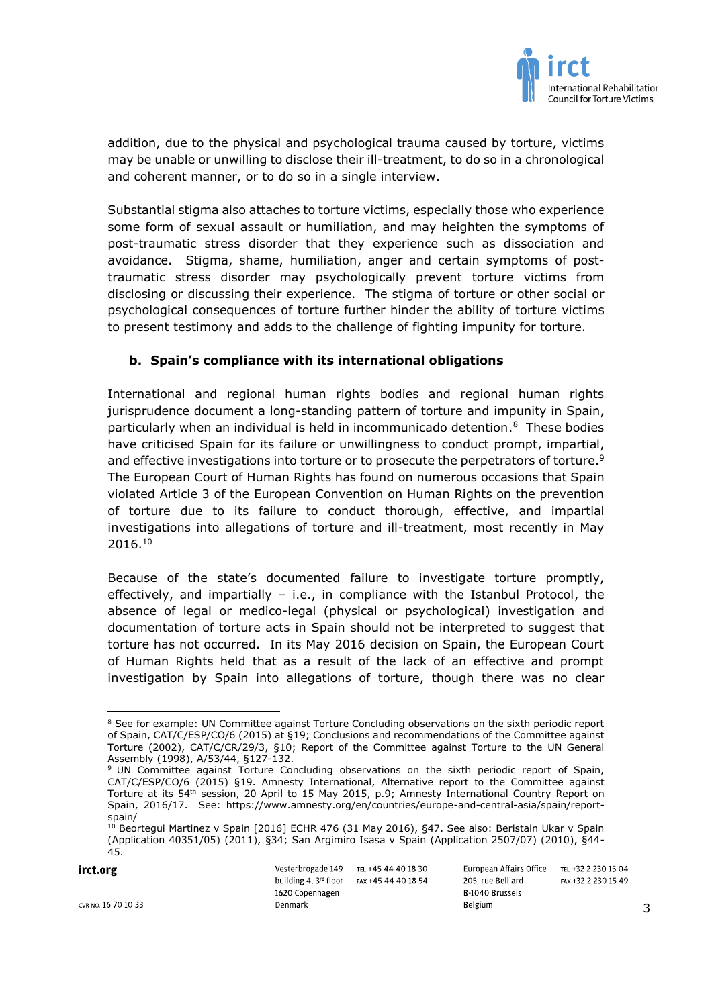

addition, due to the physical and psychological trauma caused by torture, victims may be unable or unwilling to disclose their ill-treatment, to do so in a chronological and coherent manner, or to do so in a single interview.

Substantial stigma also attaches to torture victims, especially those who experience some form of sexual assault or humiliation, and may heighten the symptoms of post-traumatic stress disorder that they experience such as dissociation and avoidance. Stigma, shame, humiliation, anger and certain symptoms of posttraumatic stress disorder may psychologically prevent torture victims from disclosing or discussing their experience. The stigma of torture or other social or psychological consequences of torture further hinder the ability of torture victims to present testimony and adds to the challenge of fighting impunity for torture.

### **b. Spain's compliance with its international obligations**

International and regional human rights bodies and regional human rights jurisprudence document a long-standing pattern of torture and impunity in Spain, particularly when an individual is held in incommunicado detention. 8 These bodies have criticised Spain for its failure or unwillingness to conduct prompt, impartial, and effective investigations into torture or to prosecute the perpetrators of torture.<sup>9</sup> The European Court of Human Rights has found on numerous occasions that Spain violated Article 3 of the European Convention on Human Rights on the prevention of torture due to its failure to conduct thorough, effective, and impartial investigations into allegations of torture and ill-treatment, most recently in May 2016.<sup>10</sup>

Because of the state's documented failure to investigate torture promptly, effectively, and impartially – i.e., in compliance with the Istanbul Protocol, the absence of legal or medico-legal (physical or psychological) investigation and documentation of torture acts in Spain should not be interpreted to suggest that torture has not occurred. In its May 2016 decision on Spain, the European Court of Human Rights held that as a result of the lack of an effective and prompt investigation by Spain into allegations of torture, though there was no clear

Vesterbrogade 149 TEL +45 44 40 18 30 European Affairs Office TEL +32 2 230 15 04 building 4, 3rd floor FAX +45 44 40 18 54 205, rue Belliard FAX +32 2 230 15 49 1620 Copenhagen B 1040 Brussels Belgium Denmark

irct.org

3

 $\overline{\phantom{a}}$ <sup>8</sup> See for example: UN Committee against Torture Concluding observations on the sixth periodic report of Spain, CAT/C/ESP/CO/6 (2015) at §19; Conclusions and recommendations of the Committee against Torture (2002), CAT/C/CR/29/3, §10; Report of the Committee against Torture to the UN General Assembly (1998), A/53/44, §127-132.

<sup>&</sup>lt;sup>9</sup> UN Committee against Torture Concluding observations on the sixth periodic report of Spain, CAT/C/ESP/CO/6 (2015) §19. Amnesty International, Alternative report to the Committee against Torture at its 54<sup>th</sup> session, 20 April to 15 May 2015, p.9; Amnesty International Country Report on Spain, 2016/17. See: https://www.amnesty.org/en/countries/europe-and-central-asia/spain/reportspain/

<sup>10</sup> Beortegui Martinez v Spain [2016] ECHR 476 (31 May 2016), §47. See also: Beristain Ukar v Spain (Application 40351/05) (2011), §34; San Argimiro Isasa v Spain (Application 2507/07) (2010), §44- 45.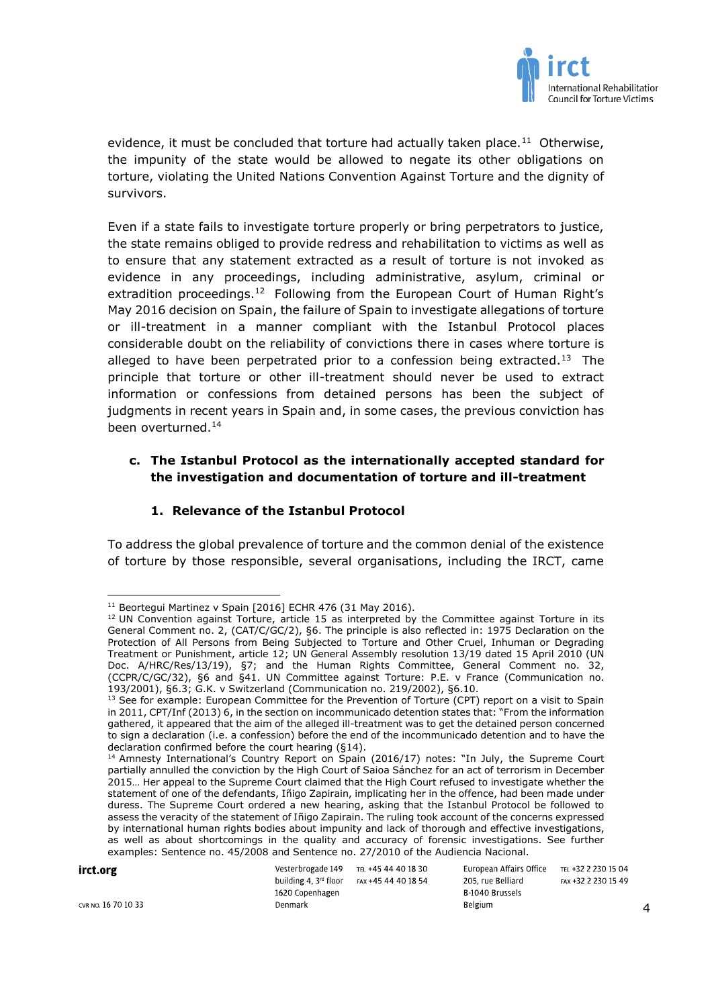

evidence, it must be concluded that torture had actually taken place.<sup>11</sup> Otherwise, the impunity of the state would be allowed to negate its other obligations on torture, violating the United Nations Convention Against Torture and the dignity of survivors.

Even if a state fails to investigate torture properly or bring perpetrators to justice, the state remains obliged to provide redress and rehabilitation to victims as well as to ensure that any statement extracted as a result of torture is not invoked as evidence in any proceedings, including administrative, asylum, criminal or extradition proceedings.<sup>12</sup> Following from the European Court of Human Right's May 2016 decision on Spain, the failure of Spain to investigate allegations of torture or ill-treatment in a manner compliant with the Istanbul Protocol places considerable doubt on the reliability of convictions there in cases where torture is alleged to have been perpetrated prior to a confession being extracted.<sup>13</sup> The principle that torture or other ill-treatment should never be used to extract information or confessions from detained persons has been the subject of judgments in recent years in Spain and, in some cases, the previous conviction has been overturned.<sup>14</sup>

# **c. The Istanbul Protocol as the internationally accepted standard for the investigation and documentation of torture and ill-treatment**

## **1. Relevance of the Istanbul Protocol**

To address the global prevalence of torture and the common denial of the existence of torture by those responsible, several organisations, including the IRCT, came

<sup>&</sup>lt;sup>14</sup> Amnesty International's Country Report on Spain (2016/17) notes: "In July, the Supreme Court partially annulled the conviction by the High Court of Saioa Sánchez for an act of terrorism in December 2015… Her appeal to the Supreme Court claimed that the High Court refused to investigate whether the statement of one of the defendants, Iñigo Zapirain, implicating her in the offence, had been made under duress. The Supreme Court ordered a new hearing, asking that the Istanbul Protocol be followed to assess the veracity of the statement of Iñigo Zapirain. The ruling took account of the concerns expressed by international human rights bodies about impunity and lack of thorough and effective investigations, as well as about shortcomings in the quality and accuracy of forensic investigations. See further examples: Sentence no. 45/2008 and Sentence no. 27/2010 of the Audiencia Nacional.

| irct.org            | Vesterbrogade 149 TEL +45 44 40 18 30             | European Affairs Office | tel +32 2 230 15 04 |
|---------------------|---------------------------------------------------|-------------------------|---------------------|
|                     | building 4, $3^{rd}$ floor $FAX + 45$ 44 40 18 54 | 205. rue Belliard       | FAX +32 2 230 15 49 |
|                     | 1620 Copenhagen                                   | B-1040 Brussels         |                     |
| cvr no. 16 70 10 33 | Denmark                                           | <b>Belgium</b>          |                     |

 $\overline{a}$ <sup>11</sup> Beortegui Martinez v Spain [2016] ECHR 476 (31 May 2016).

 $12$  UN Convention against Torture, article 15 as interpreted by the Committee against Torture in its General Comment no. 2, (CAT/C/GC/2), §6. The principle is also reflected in: 1975 Declaration on the Protection of All Persons from Being Subjected to Torture and Other Cruel, Inhuman or Degrading Treatment or Punishment, article 12; UN General Assembly resolution 13/19 dated 15 April 2010 (UN Doc. A/HRC/Res/13/19), §7; and the Human Rights Committee, General Comment no. 32, (CCPR/C/GC/32), §6 and §41. UN Committee against Torture: P.E. v France (Communication no. 193/2001), §6.3; G.K. v Switzerland (Communication no. 219/2002), §6.10.

<sup>&</sup>lt;sup>13</sup> See for example: European Committee for the Prevention of Torture (CPT) report on a visit to Spain in 2011, CPT/Inf (2013) 6, in the section on incommunicado detention states that: "From the information gathered, it appeared that the aim of the alleged ill-treatment was to get the detained person concerned to sign a declaration (i.e. a confession) before the end of the incommunicado detention and to have the declaration confirmed before the court hearing (§14).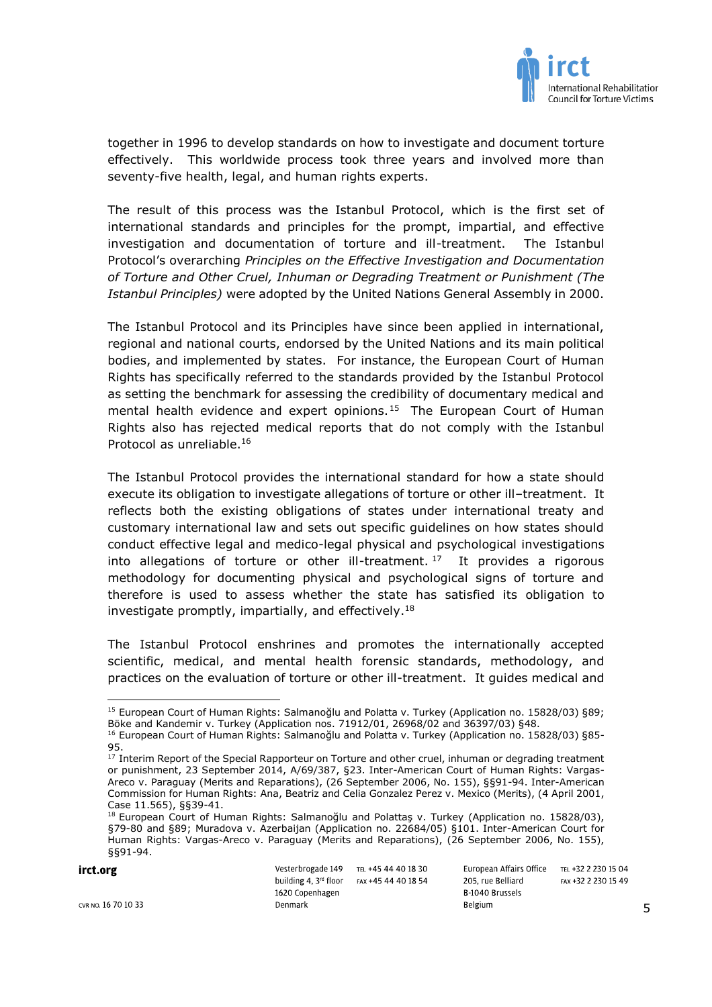

together in 1996 to develop standards on how to investigate and document torture effectively. This worldwide process took three years and involved more than seventy-five health, legal, and human rights experts.

The result of this process was the Istanbul Protocol, which is the first set of international standards and principles for the prompt, impartial, and effective investigation and documentation of torture and ill-treatment. The Istanbul Protocol's overarching *Principles on the Effective Investigation and Documentation of Torture and Other Cruel, Inhuman or Degrading Treatment or Punishment (The Istanbul Principles)* were adopted by the United Nations General Assembly in 2000.

The Istanbul Protocol and its Principles have since been applied in international, regional and national courts, endorsed by the United Nations and its main political bodies, and implemented by states. For instance, the European Court of Human Rights has specifically referred to the standards provided by the Istanbul Protocol as setting the benchmark for assessing the credibility of documentary medical and mental health evidence and expert opinions.<sup>15</sup> The European Court of Human Rights also has rejected medical reports that do not comply with the Istanbul Protocol as unreliable.<sup>16</sup>

The Istanbul Protocol provides the international standard for how a state should execute its obligation to investigate allegations of torture or other ill–treatment. It reflects both the existing obligations of states under international treaty and customary international law and sets out specific guidelines on how states should conduct effective legal and medico-legal physical and psychological investigations into allegations of torture or other ill-treatment.  $17$  It provides a rigorous methodology for documenting physical and psychological signs of torture and therefore is used to assess whether the state has satisfied its obligation to investigate promptly, impartially, and effectively. 18

The Istanbul Protocol enshrines and promotes the internationally accepted scientific, medical, and mental health forensic standards, methodology, and practices on the evaluation of torture or other ill-treatment. It guides medical and

 $\overline{\phantom{a}}$ 

<sup>&</sup>lt;sup>18</sup> European Court of Human Rights: Salmanoğlu and Polattaş v. Turkey (Application no. 15828/03), §79-80 and §89; Muradova v. Azerbaijan (Application no. 22684/05) §101. Inter-American Court for Human Rights: Vargas-Areco v. Paraguay (Merits and Reparations), (26 September 2006, No. 155), §§91-94.

| irct.org            | Vesterbrogade 149<br>building 4, $3^{rd}$ floor $=$ $FAX + 45$ 44 40 18 54<br>1620 Copenhagen | tel +45 44 40 18 30 | European Affairs Office<br>205. rue Belliard<br>B 1040 Brussels | TEL +32 2 230 15 04<br>FAX +32 2 230 15 49 |
|---------------------|-----------------------------------------------------------------------------------------------|---------------------|-----------------------------------------------------------------|--------------------------------------------|
| CVR NO. 16 70 10 33 | Denmark                                                                                       |                     | Belgium                                                         |                                            |

5

<sup>15</sup> European Court of Human Rights: Salmanoğlu and Polatta v. Turkey (Application no. 15828/03) §89; Böke and Kandemir v. Turkey (Application nos. 71912/01, 26968/02 and 36397/03) §48.

<sup>16</sup> European Court of Human Rights: Salmanoğlu and Polatta v. Turkey (Application no. 15828/03) §85- 95.

 $^{17}$  Interim Report of the Special Rapporteur on Torture and other cruel, inhuman or degrading treatment or punishment, 23 September 2014, A/69/387, §23. Inter-American Court of Human Rights: Vargas-Areco v. Paraguay (Merits and Reparations), (26 September 2006, No. 155), §§91-94. Inter-American Commission for Human Rights: Ana, Beatriz and Celia Gonzalez Perez v. Mexico (Merits), (4 April 2001, Case 11.565), §§39-41.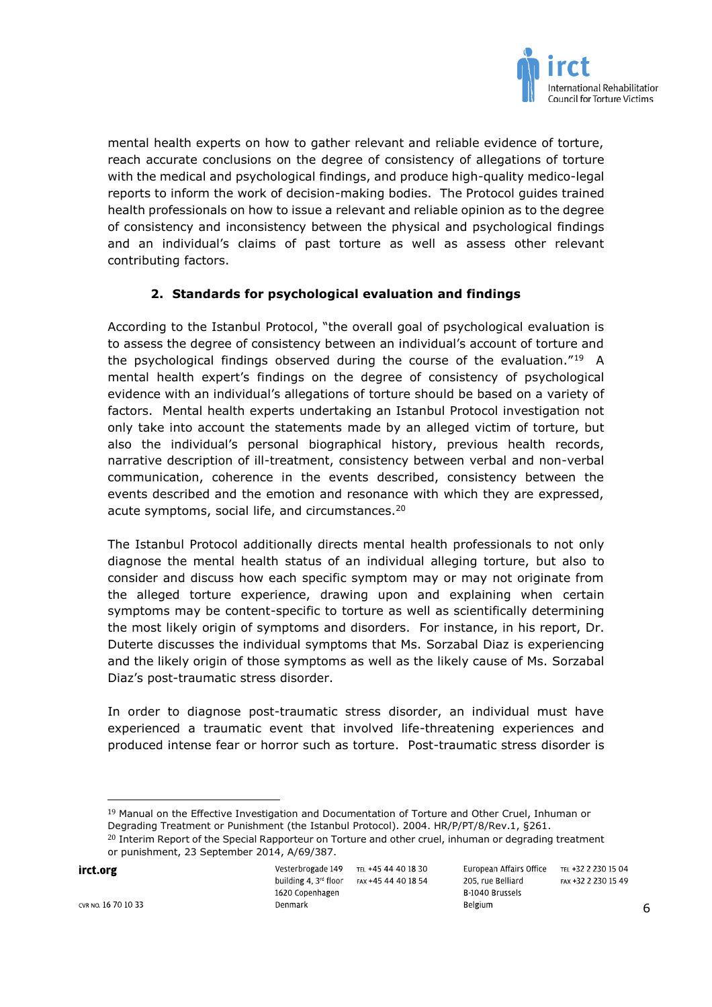

mental health experts on how to gather relevant and reliable evidence of torture, reach accurate conclusions on the degree of consistency of allegations of torture with the medical and psychological findings, and produce high-quality medico-legal reports to inform the work of decision-making bodies. The Protocol guides trained health professionals on how to issue a relevant and reliable opinion as to the degree of consistency and inconsistency between the physical and psychological findings and an individual's claims of past torture as well as assess other relevant contributing factors.

# **2. Standards for psychological evaluation and findings**

According to the Istanbul Protocol, "the overall goal of psychological evaluation is to assess the degree of consistency between an individual's account of torture and the psychological findings observed during the course of the evaluation."<sup>19</sup> A mental health expert's findings on the degree of consistency of psychological evidence with an individual's allegations of torture should be based on a variety of factors. Mental health experts undertaking an Istanbul Protocol investigation not only take into account the statements made by an alleged victim of torture, but also the individual's personal biographical history, previous health records, narrative description of ill-treatment, consistency between verbal and non-verbal communication, coherence in the events described, consistency between the events described and the emotion and resonance with which they are expressed, acute symptoms, social life, and circumstances.<sup>20</sup>

The Istanbul Protocol additionally directs mental health professionals to not only diagnose the mental health status of an individual alleging torture, but also to consider and discuss how each specific symptom may or may not originate from the alleged torture experience, drawing upon and explaining when certain symptoms may be content-specific to torture as well as scientifically determining the most likely origin of symptoms and disorders. For instance, in his report, Dr. Duterte discusses the individual symptoms that Ms. Sorzabal Diaz is experiencing and the likely origin of those symptoms as well as the likely cause of Ms. Sorzabal Diaz's post-traumatic stress disorder.

In order to diagnose post-traumatic stress disorder, an individual must have experienced a traumatic event that involved life-threatening experiences and produced intense fear or horror such as torture. Post-traumatic stress disorder is

irct.org

Vesterbrogade 149 TEL +45 44 40 18 30 building 4, 3rd floor FAX +45 44 40 18 54 1620 Copenhagen Denmark

European Affairs Office TEL +32 2 230 15 04 205, rue Belliard B 1040 Brussels Belgium

 $\overline{\phantom{a}}$ 

<sup>&</sup>lt;sup>19</sup> Manual on the Effective Investigation and Documentation of Torture and Other Cruel, Inhuman or Degrading Treatment or Punishment (the Istanbul Protocol). 2004. HR/P/PT/8/Rev.1, §261. <sup>20</sup> Interim Report of the Special Rapporteur on Torture and other cruel, inhuman or degrading treatment or punishment, 23 September 2014, A/69/387.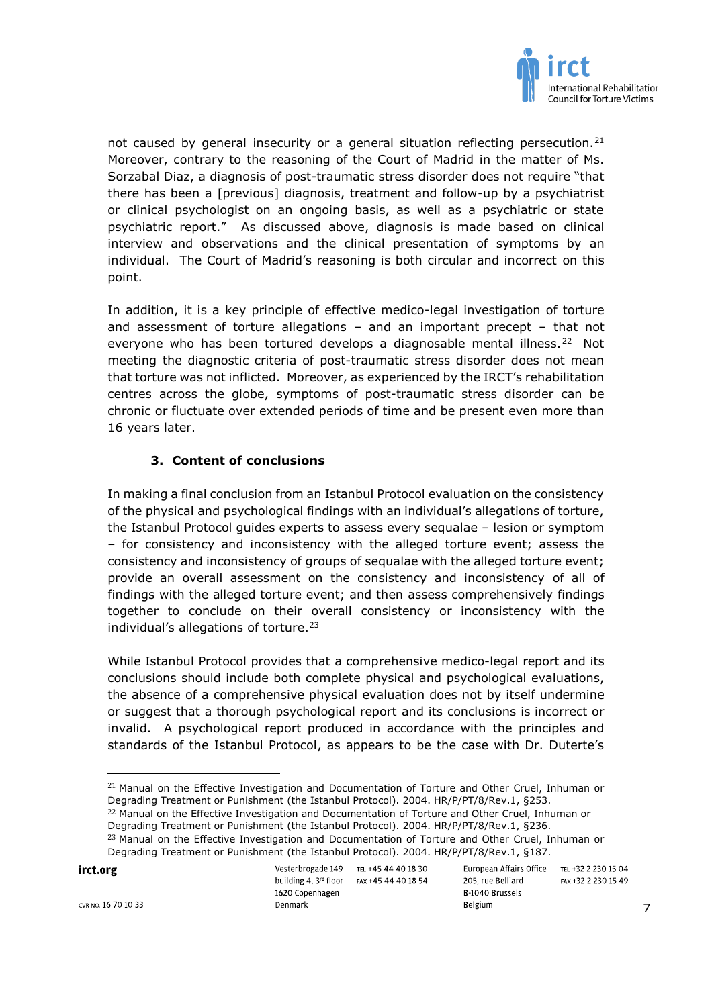

not caused by general insecurity or a general situation reflecting persecution.<sup>21</sup> Moreover, contrary to the reasoning of the Court of Madrid in the matter of Ms. Sorzabal Diaz, a diagnosis of post-traumatic stress disorder does not require "that there has been a [previous] diagnosis, treatment and follow-up by a psychiatrist or clinical psychologist on an ongoing basis, as well as a psychiatric or state psychiatric report." As discussed above, diagnosis is made based on clinical interview and observations and the clinical presentation of symptoms by an individual. The Court of Madrid's reasoning is both circular and incorrect on this point.

In addition, it is a key principle of effective medico-legal investigation of torture and assessment of torture allegations – and an important precept – that not everyone who has been tortured develops a diagnosable mental illness.<sup>22</sup> Not meeting the diagnostic criteria of post-traumatic stress disorder does not mean that torture was not inflicted. Moreover, as experienced by the IRCT's rehabilitation centres across the globe, symptoms of post-traumatic stress disorder can be chronic or fluctuate over extended periods of time and be present even more than 16 years later.

# **3. Content of conclusions**

In making a final conclusion from an Istanbul Protocol evaluation on the consistency of the physical and psychological findings with an individual's allegations of torture, the Istanbul Protocol guides experts to assess every sequalae – lesion or symptom – for consistency and inconsistency with the alleged torture event; assess the consistency and inconsistency of groups of sequalae with the alleged torture event; provide an overall assessment on the consistency and inconsistency of all of findings with the alleged torture event; and then assess comprehensively findings together to conclude on their overall consistency or inconsistency with the individual's allegations of torture. 23

While Istanbul Protocol provides that a comprehensive medico-legal report and its conclusions should include both complete physical and psychological evaluations, the absence of a comprehensive physical evaluation does not by itself undermine or suggest that a thorough psychological report and its conclusions is incorrect or invalid. A psychological report produced in accordance with the principles and standards of the Istanbul Protocol, as appears to be the case with Dr. Duterte's

<sup>22</sup> Manual on the Effective Investigation and Documentation of Torture and Other Cruel, Inhuman or Degrading Treatment or Punishment (the Istanbul Protocol). 2004. HR/P/PT/8/Rev.1, §236.

irct.org

| Vesterbrogade 149                 | TEL +45 44 40 18 30 | European Affairs Office |
|-----------------------------------|---------------------|-------------------------|
| building 4. 3 <sup>rd</sup> floor | FAX +45 44 40 18 54 | 205, rue Belliard       |
| 1620 Copenhagen                   |                     | B 1040 Brussels         |
| Denmark                           |                     | Belgium                 |

TEL +32 2 230 15 04 FAX +32 2 230 15 49

 $\overline{a}$ 

<sup>&</sup>lt;sup>21</sup> Manual on the Effective Investigation and Documentation of Torture and Other Cruel, Inhuman or Degrading Treatment or Punishment (the Istanbul Protocol). 2004. HR/P/PT/8/Rev.1, §253.

<sup>&</sup>lt;sup>23</sup> Manual on the Effective Investigation and Documentation of Torture and Other Cruel, Inhuman or Degrading Treatment or Punishment (the Istanbul Protocol). 2004. HR/P/PT/8/Rev.1, §187.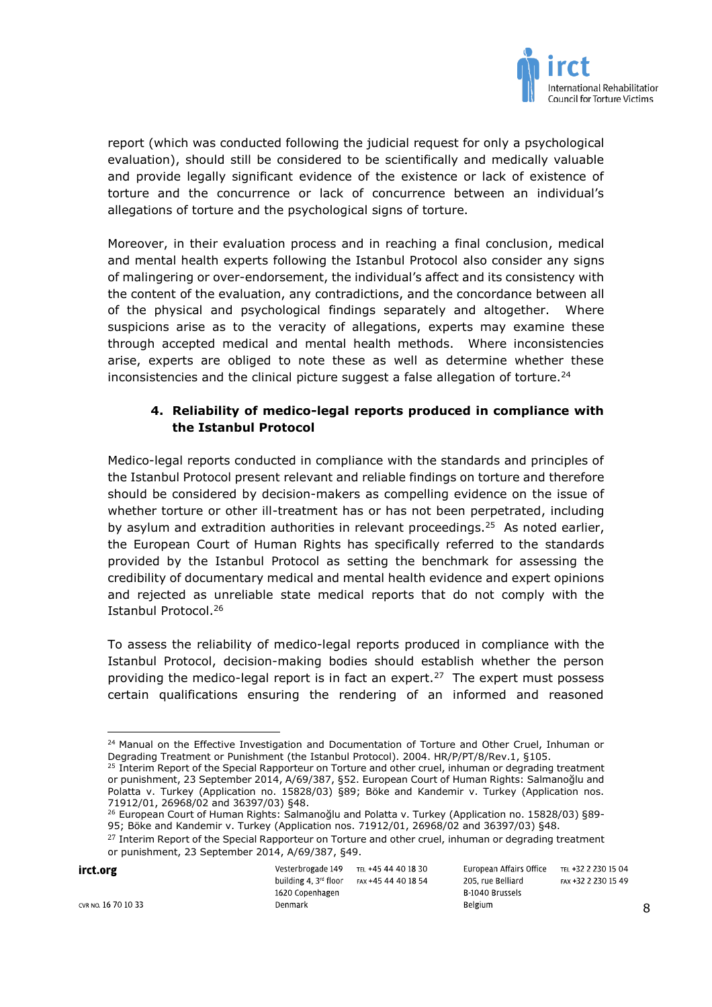

report (which was conducted following the judicial request for only a psychological evaluation), should still be considered to be scientifically and medically valuable and provide legally significant evidence of the existence or lack of existence of torture and the concurrence or lack of concurrence between an individual's allegations of torture and the psychological signs of torture.

Moreover, in their evaluation process and in reaching a final conclusion, medical and mental health experts following the Istanbul Protocol also consider any signs of malingering or over-endorsement, the individual's affect and its consistency with the content of the evaluation, any contradictions, and the concordance between all of the physical and psychological findings separately and altogether. Where suspicions arise as to the veracity of allegations, experts may examine these through accepted medical and mental health methods. Where inconsistencies arise, experts are obliged to note these as well as determine whether these inconsistencies and the clinical picture suggest a false allegation of torture.<sup>24</sup>

# **4. Reliability of medico-legal reports produced in compliance with the Istanbul Protocol**

Medico-legal reports conducted in compliance with the standards and principles of the Istanbul Protocol present relevant and reliable findings on torture and therefore should be considered by decision-makers as compelling evidence on the issue of whether torture or other ill-treatment has or has not been perpetrated, including by asylum and extradition authorities in relevant proceedings.<sup>25</sup> As noted earlier, the European Court of Human Rights has specifically referred to the standards provided by the Istanbul Protocol as setting the benchmark for assessing the credibility of documentary medical and mental health evidence and expert opinions and rejected as unreliable state medical reports that do not comply with the Istanbul Protocol. 26

To assess the reliability of medico-legal reports produced in compliance with the Istanbul Protocol, decision-making bodies should establish whether the person providing the medico-legal report is in fact an expert.<sup>27</sup> The expert must possess certain qualifications ensuring the rendering of an informed and reasoned

irct.org

| Vesterbrogade 149       | TEL +45 44 40 18 30 | Europea  |
|-------------------------|---------------------|----------|
| building 4, $3rd$ floor | FAX +45 44 40 18 54 | 205. rue |
| 1620 Copenhagen         |                     | B-1040 B |
| Denmark                 |                     | Belgium  |
|                         |                     |          |

In Affairs Office TEL +32 2 230 15 04 Belliard FAX +32 2 230 15 49 **Brussels** 

 $\overline{a}$ <sup>24</sup> Manual on the Effective Investigation and Documentation of Torture and Other Cruel, Inhuman or Degrading Treatment or Punishment (the Istanbul Protocol). 2004. HR/P/PT/8/Rev.1, §105.

<sup>&</sup>lt;sup>25</sup> Interim Report of the Special Rapporteur on Torture and other cruel, inhuman or degrading treatment or punishment, 23 September 2014, A/69/387, §52. European Court of Human Rights: Salmanoğlu and Polatta v. Turkey (Application no. 15828/03) §89; Böke and Kandemir v. Turkey (Application nos. 71912/01, 26968/02 and 36397/03) §48.

<sup>&</sup>lt;sup>26</sup> European Court of Human Rights: Salmanoğlu and Polatta v. Turkey (Application no. 15828/03) §89-95; Böke and Kandemir v. Turkey (Application nos. 71912/01, 26968/02 and 36397/03) §48.

<sup>&</sup>lt;sup>27</sup> Interim Report of the Special Rapporteur on Torture and other cruel, inhuman or degrading treatment or punishment, 23 September 2014, A/69/387, §49.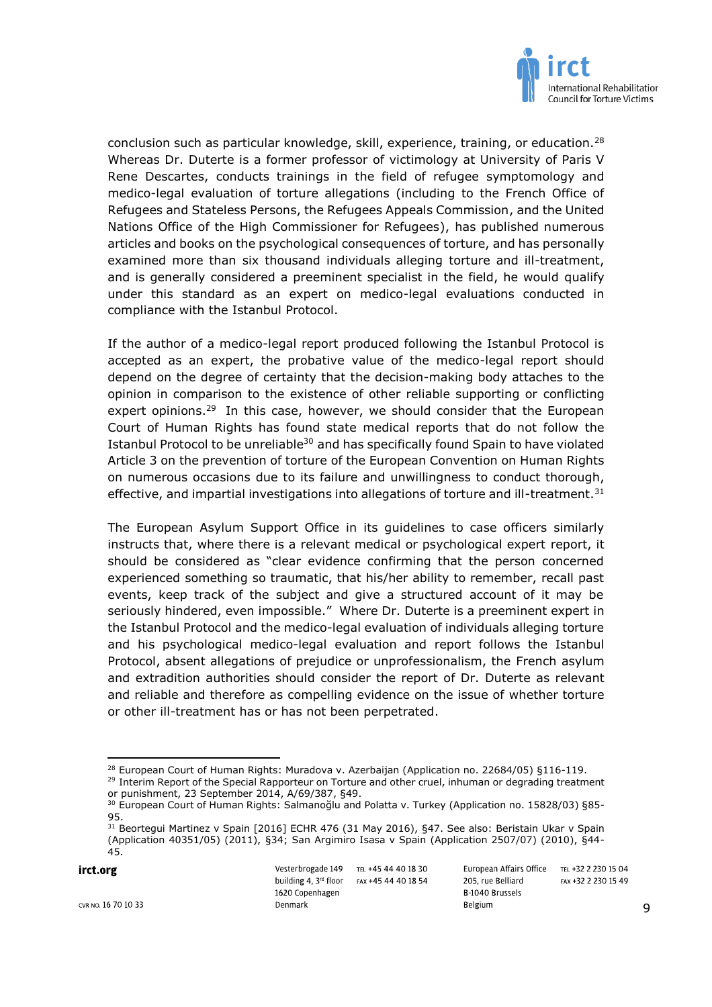

conclusion such as particular knowledge, skill, experience, training, or education.<sup>28</sup> Whereas Dr. Duterte is a former professor of victimology at University of Paris V Rene Descartes, conducts trainings in the field of refugee symptomology and medico-legal evaluation of torture allegations (including to the French Office of Refugees and Stateless Persons, the Refugees Appeals Commission, and the United Nations Office of the High Commissioner for Refugees), has published numerous articles and books on the psychological consequences of torture, and has personally examined more than six thousand individuals alleging torture and ill-treatment, and is generally considered a preeminent specialist in the field, he would qualify under this standard as an expert on medico-legal evaluations conducted in compliance with the Istanbul Protocol.

If the author of a medico-legal report produced following the Istanbul Protocol is accepted as an expert, the probative value of the medico-legal report should depend on the degree of certainty that the decision-making body attaches to the opinion in comparison to the existence of other reliable supporting or conflicting expert opinions.<sup>29</sup> In this case, however, we should consider that the European Court of Human Rights has found state medical reports that do not follow the Istanbul Protocol to be unreliable<sup>30</sup> and has specifically found Spain to have violated Article 3 on the prevention of torture of the European Convention on Human Rights on numerous occasions due to its failure and unwillingness to conduct thorough, effective, and impartial investigations into allegations of torture and ill-treatment.<sup>31</sup>

The European Asylum Support Office in its guidelines to case officers similarly instructs that, where there is a relevant medical or psychological expert report, it should be considered as "clear evidence confirming that the person concerned experienced something so traumatic, that his/her ability to remember, recall past events, keep track of the subject and give a structured account of it may be seriously hindered, even impossible." Where Dr. Duterte is a preeminent expert in the Istanbul Protocol and the medico-legal evaluation of individuals alleging torture and his psychological medico-legal evaluation and report follows the Istanbul Protocol, absent allegations of prejudice or unprofessionalism, the French asylum and extradition authorities should consider the report of Dr. Duterte as relevant and reliable and therefore as compelling evidence on the issue of whether torture or other ill-treatment has or has not been perpetrated.

irct.org

Vesterbrogade 149 TEL +45 44 40 18 30 building 4, 3rd floor FAX +45 44 40 18 54 1620 Copenhagen Denmark

European Affairs Office TEL +32 2 230 15 04 205, rue Belliard FAX +32 2 230 15 49 B 1040 Brussels Belgium

 $\overline{a}$ <sup>28</sup> European Court of Human Rights: Muradova v. Azerbaijan (Application no. 22684/05) §116-119.

<sup>&</sup>lt;sup>29</sup> Interim Report of the Special Rapporteur on Torture and other cruel, inhuman or degrading treatment or punishment, 23 September 2014, A/69/387, §49.

<sup>&</sup>lt;sup>30</sup> European Court of Human Rights: Salmanoğlu and Polatta v. Turkey (Application no. 15828/03) §85-95.

<sup>31</sup> Beortegui Martinez v Spain [2016] ECHR 476 (31 May 2016), §47. See also: Beristain Ukar v Spain (Application 40351/05) (2011), §34; San Argimiro Isasa v Spain (Application 2507/07) (2010), §44- 45.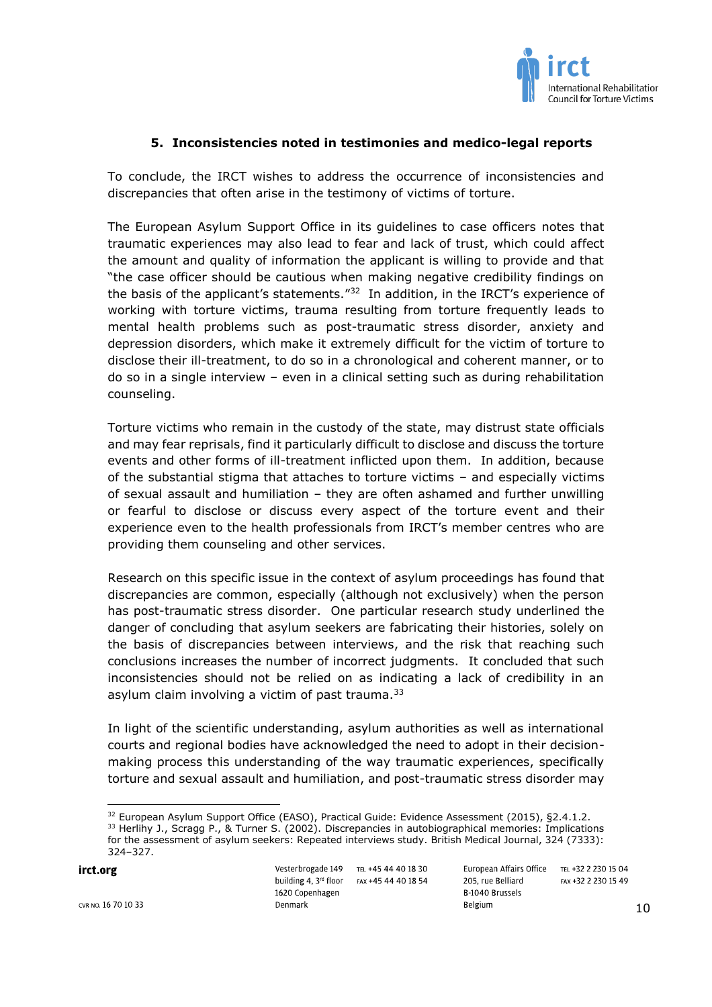

### **5. Inconsistencies noted in testimonies and medico-legal reports**

To conclude, the IRCT wishes to address the occurrence of inconsistencies and discrepancies that often arise in the testimony of victims of torture.

The European Asylum Support Office in its guidelines to case officers notes that traumatic experiences may also lead to fear and lack of trust, which could affect the amount and quality of information the applicant is willing to provide and that "the case officer should be cautious when making negative credibility findings on the basis of the applicant's statements."<sup>32</sup> In addition, in the IRCT's experience of working with torture victims, trauma resulting from torture frequently leads to mental health problems such as post-traumatic stress disorder, anxiety and depression disorders, which make it extremely difficult for the victim of torture to disclose their ill-treatment, to do so in a chronological and coherent manner, or to do so in a single interview – even in a clinical setting such as during rehabilitation counseling.

Torture victims who remain in the custody of the state, may distrust state officials and may fear reprisals, find it particularly difficult to disclose and discuss the torture events and other forms of ill-treatment inflicted upon them. In addition, because of the substantial stigma that attaches to torture victims – and especially victims of sexual assault and humiliation – they are often ashamed and further unwilling or fearful to disclose or discuss every aspect of the torture event and their experience even to the health professionals from IRCT's member centres who are providing them counseling and other services.

Research on this specific issue in the context of asylum proceedings has found that discrepancies are common, especially (although not exclusively) when the person has post-traumatic stress disorder. One particular research study underlined the danger of concluding that asylum seekers are fabricating their histories, solely on the basis of discrepancies between interviews, and the risk that reaching such conclusions increases the number of incorrect judgments. It concluded that such inconsistencies should not be relied on as indicating a lack of credibility in an asylum claim involving a victim of past trauma. $33$ 

In light of the scientific understanding, asylum authorities as well as international courts and regional bodies have acknowledged the need to adopt in their decisionmaking process this understanding of the way traumatic experiences, specifically torture and sexual assault and humiliation, and post-traumatic stress disorder may

irct.org

CVR NO. 16 70 10 33

 $\overline{\phantom{a}}$ 

Denmark

Vesterbrogade 149 TEL +45 44 40 18 30 building 4, 3rd floor FAX +45 44 40 18 54 1620 Copenhagen

<sup>&</sup>lt;sup>32</sup> European Asylum Support Office (EASO), Practical Guide: Evidence Assessment (2015), §2.4.1.2. 33 Herlihy J., Scragg P., & Turner S. (2002). Discrepancies in autobiographical memories: Implications for the assessment of asylum seekers: Repeated interviews study. British Medical Journal, 324 (7333): 324–327.